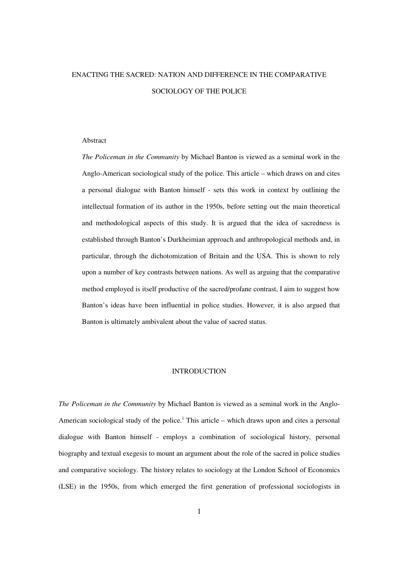# ENACTING THE SACRED: NATION AND DIFFERENCE IN THE COMPARATIVE SOCIOLOGY OF THE POLICE

## Abstract

*The Policeman in the Community* by Michael Banton is viewed as a seminal work in the Anglo-American sociological study of the police. This article – which draws on and cites a personal dialogue with Banton himself - sets this work in context by outlining the intellectual formation of its author in the 1950s, before setting out the main theoretical and methodological aspects of this study. It is argued that the idea of sacredness is established through Banton's Durkheimian approach and anthropological methods and, in particular, through the dichotomization of Britain and the USA. This is shown to rely upon a number of key contrasts between nations. As well as arguing that the comparative method employed is itself productive of the sacred/profane contrast, I aim to suggest how Banton's ideas have been influential in police studies. However, it is also argued that Banton is ultimately ambivalent about the value of sacred status.

## INTRODUCTION

*The Policeman in the Community* by Michael Banton is viewed as a seminal work in the Anglo-American sociological study of the police.<sup>1</sup> This article  $-$  which draws upon and cites a personal dialogue with Banton himself - employs a combination of sociological history, personal biography and textual exegesis to mount an argument about the role of the sacred in police studies and comparative sociology. The history relates to sociology at the London School of Economics (LSE) in the 1950s, from which emerged the first generation of professional sociologists in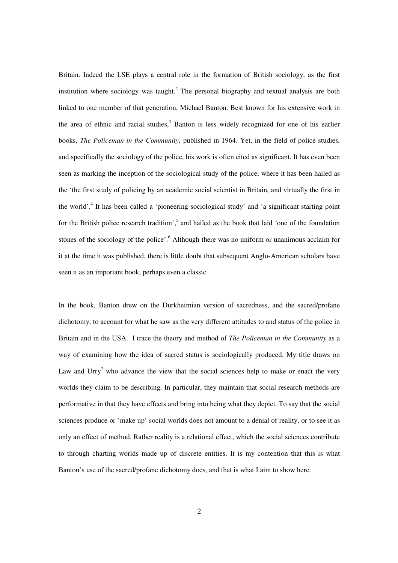Britain. Indeed the LSE plays a central role in the formation of British sociology, as the first institution where sociology was taught.<sup>2</sup> The personal biography and textual analysis are both linked to one member of that generation, Michael Banton. Best known for his extensive work in the area of ethnic and racial studies,<sup>3</sup> Banton is less widely recognized for one of his earlier books, *The Policeman in the Community*, published in 1964. Yet, in the field of police studies, and specifically the sociology of the police, his work is often cited as significant. It has even been seen as marking the inception of the sociological study of the police, where it has been hailed as the 'the first study of policing by an academic social scientist in Britain, and virtually the first in the world'.<sup>4</sup> It has been called a 'pioneering sociological study' and 'a significant starting point for the British police research tradition',<sup>5</sup> and hailed as the book that laid 'one of the foundation stones of the sociology of the police'.<sup>6</sup> Although there was no uniform or unanimous acclaim for it at the time it was published, there is little doubt that subsequent Anglo-American scholars have seen it as an important book, perhaps even a classic.

In the book, Banton drew on the Durkheimian version of sacredness, and the sacred/profane dichotomy, to account for what he saw as the very different attitudes to and status of the police in Britain and in the USA. I trace the theory and method of *The Policeman in the Community* as a way of examining how the idea of sacred status is sociologically produced. My title draws on Law and  $Urry^7$  who advance the view that the social sciences help to make or enact the very worlds they claim to be describing. In particular, they maintain that social research methods are performative in that they have effects and bring into being what they depict. To say that the social sciences produce or 'make up' social worlds does not amount to a denial of reality, or to see it as only an effect of method. Rather reality is a relational effect, which the social sciences contribute to through charting worlds made up of discrete entities. It is my contention that this is what Banton's use of the sacred/profane dichotomy does, and that is what I aim to show here.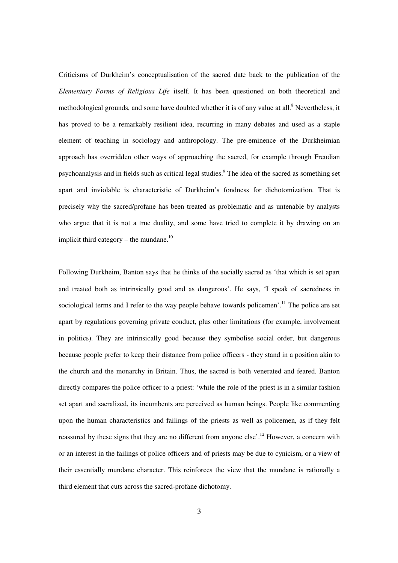Criticisms of Durkheim's conceptualisation of the sacred date back to the publication of the *Elementary Forms of Religious Life* itself. It has been questioned on both theoretical and methodological grounds, and some have doubted whether it is of any value at all.<sup>8</sup> Nevertheless, it has proved to be a remarkably resilient idea, recurring in many debates and used as a staple element of teaching in sociology and anthropology. The pre-eminence of the Durkheimian approach has overridden other ways of approaching the sacred, for example through Freudian psychoanalysis and in fields such as critical legal studies.<sup>9</sup> The idea of the sacred as something set apart and inviolable is characteristic of Durkheim's fondness for dichotomization. That is precisely why the sacred/profane has been treated as problematic and as untenable by analysts who argue that it is not a true duality, and some have tried to complete it by drawing on an implicit third category – the mundane. $^{10}$ 

Following Durkheim, Banton says that he thinks of the socially sacred as 'that which is set apart and treated both as intrinsically good and as dangerous'. He says, 'I speak of sacredness in sociological terms and I refer to the way people behave towards policemen'.<sup>11</sup> The police are set apart by regulations governing private conduct, plus other limitations (for example, involvement in politics). They are intrinsically good because they symbolise social order, but dangerous because people prefer to keep their distance from police officers - they stand in a position akin to the church and the monarchy in Britain. Thus, the sacred is both venerated and feared. Banton directly compares the police officer to a priest: 'while the role of the priest is in a similar fashion set apart and sacralized, its incumbents are perceived as human beings. People like commenting upon the human characteristics and failings of the priests as well as policemen, as if they felt reassured by these signs that they are no different from anyone else'.<sup>12</sup> However, a concern with or an interest in the failings of police officers and of priests may be due to cynicism, or a view of their essentially mundane character. This reinforces the view that the mundane is rationally a third element that cuts across the sacred-profane dichotomy.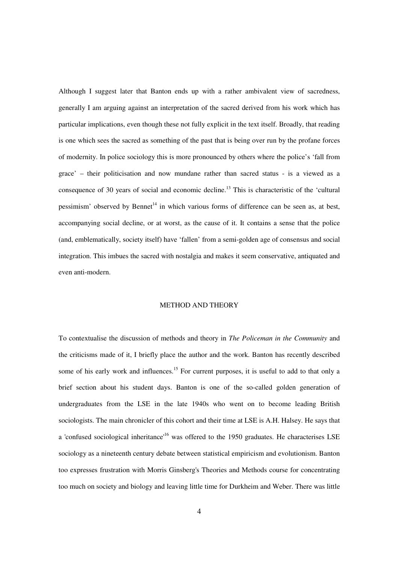Although I suggest later that Banton ends up with a rather ambivalent view of sacredness, generally I am arguing against an interpretation of the sacred derived from his work which has particular implications, even though these not fully explicit in the text itself. Broadly, that reading is one which sees the sacred as something of the past that is being over run by the profane forces of modernity. In police sociology this is more pronounced by others where the police's 'fall from grace' – their politicisation and now mundane rather than sacred status - is a viewed as a consequence of 30 years of social and economic decline.<sup>13</sup> This is characteristic of the 'cultural pessimism' observed by Bennet<sup>14</sup> in which various forms of difference can be seen as, at best, accompanying social decline, or at worst, as the cause of it. It contains a sense that the police (and, emblematically, society itself) have 'fallen' from a semi-golden age of consensus and social integration. This imbues the sacred with nostalgia and makes it seem conservative, antiquated and even anti-modern.

# METHOD AND THEORY

To contextualise the discussion of methods and theory in *The Policeman in the Community* and the criticisms made of it, I briefly place the author and the work. Banton has recently described some of his early work and influences.<sup>15</sup> For current purposes, it is useful to add to that only a brief section about his student days. Banton is one of the so-called golden generation of undergraduates from the LSE in the late 1940s who went on to become leading British sociologists. The main chronicler of this cohort and their time at LSE is A.H. Halsey. He says that a 'confused sociological inheritance'<sup>16</sup> was offered to the 1950 graduates. He characterises LSE sociology as a nineteenth century debate between statistical empiricism and evolutionism. Banton too expresses frustration with Morris Ginsberg's Theories and Methods course for concentrating too much on society and biology and leaving little time for Durkheim and Weber. There was little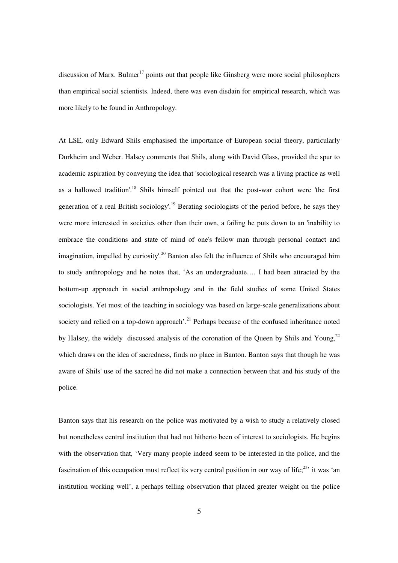discussion of Marx. Bulmer<sup>17</sup> points out that people like Ginsberg were more social philosophers than empirical social scientists. Indeed, there was even disdain for empirical research, which was more likely to be found in Anthropology.

At LSE, only Edward Shils emphasised the importance of European social theory, particularly Durkheim and Weber. Halsey comments that Shils, along with David Glass, provided the spur to academic aspiration by conveying the idea that 'sociological research was a living practice as well as a hallowed tradition'.<sup>18</sup> Shils himself pointed out that the post-war cohort were 'the first generation of a real British sociology'.<sup>19</sup> Berating sociologists of the period before, he says they were more interested in societies other than their own, a failing he puts down to an 'inability to embrace the conditions and state of mind of one's fellow man through personal contact and imagination, impelled by curiosity'.<sup>20</sup> Banton also felt the influence of Shils who encouraged him to study anthropology and he notes that, 'As an undergraduate…. I had been attracted by the bottom-up approach in social anthropology and in the field studies of some United States sociologists. Yet most of the teaching in sociology was based on large-scale generalizations about society and relied on a top-down approach'.<sup>21</sup> Perhaps because of the confused inheritance noted by Halsey, the widely discussed analysis of the coronation of the Queen by Shils and Young,<sup>22</sup> which draws on the idea of sacredness, finds no place in Banton. Banton says that though he was aware of Shils' use of the sacred he did not make a connection between that and his study of the police.

Banton says that his research on the police was motivated by a wish to study a relatively closed but nonetheless central institution that had not hitherto been of interest to sociologists. He begins with the observation that, 'Very many people indeed seem to be interested in the police, and the fascination of this occupation must reflect its very central position in our way of life;<sup>23</sup> it was 'an institution working well', a perhaps telling observation that placed greater weight on the police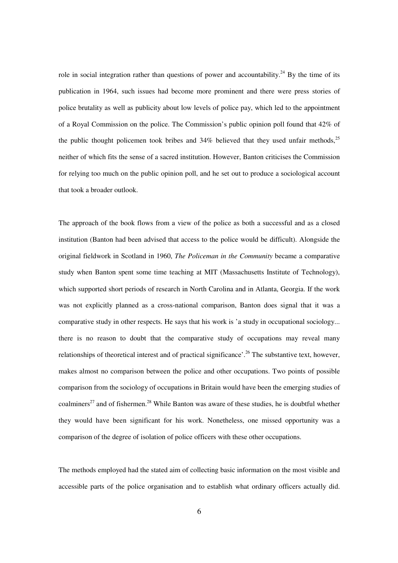role in social integration rather than questions of power and accountability.<sup>24</sup> By the time of its publication in 1964, such issues had become more prominent and there were press stories of police brutality as well as publicity about low levels of police pay, which led to the appointment of a Royal Commission on the police. The Commission's public opinion poll found that 42% of the public thought policemen took bribes and  $34\%$  believed that they used unfair methods,<sup>25</sup> neither of which fits the sense of a sacred institution. However, Banton criticises the Commission for relying too much on the public opinion poll, and he set out to produce a sociological account that took a broader outlook.

The approach of the book flows from a view of the police as both a successful and as a closed institution (Banton had been advised that access to the police would be difficult). Alongside the original fieldwork in Scotland in 1960, *The Policeman in the Community* became a comparative study when Banton spent some time teaching at MIT (Massachusetts Institute of Technology), which supported short periods of research in North Carolina and in Atlanta, Georgia. If the work was not explicitly planned as a cross-national comparison, Banton does signal that it was a comparative study in other respects. He says that his work is 'a study in occupational sociology... there is no reason to doubt that the comparative study of occupations may reveal many relationships of theoretical interest and of practical significance'.<sup>26</sup> The substantive text, however, makes almost no comparison between the police and other occupations. Two points of possible comparison from the sociology of occupations in Britain would have been the emerging studies of coalminers<sup>27</sup> and of fishermen.<sup>28</sup> While Banton was aware of these studies, he is doubtful whether they would have been significant for his work. Nonetheless, one missed opportunity was a comparison of the degree of isolation of police officers with these other occupations.

The methods employed had the stated aim of collecting basic information on the most visible and accessible parts of the police organisation and to establish what ordinary officers actually did.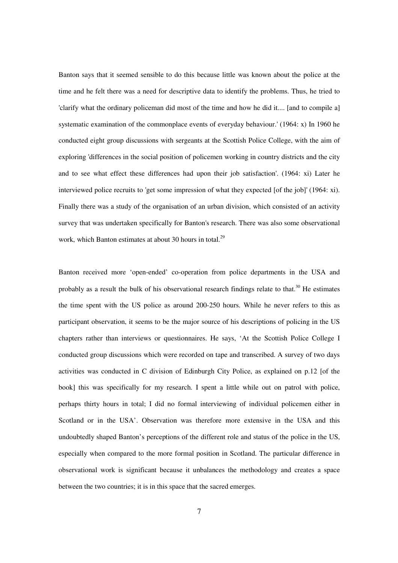Banton says that it seemed sensible to do this because little was known about the police at the time and he felt there was a need for descriptive data to identify the problems. Thus, he tried to 'clarify what the ordinary policeman did most of the time and how he did it.... [and to compile a] systematic examination of the commonplace events of everyday behaviour.' (1964: x) In 1960 he conducted eight group discussions with sergeants at the Scottish Police College, with the aim of exploring 'differences in the social position of policemen working in country districts and the city and to see what effect these differences had upon their job satisfaction'. (1964: xi) Later he interviewed police recruits to 'get some impression of what they expected [of the job]' (1964: xi). Finally there was a study of the organisation of an urban division, which consisted of an activity survey that was undertaken specifically for Banton's research. There was also some observational work, which Banton estimates at about 30 hours in total.<sup>29</sup>

Banton received more 'open-ended' co-operation from police departments in the USA and probably as a result the bulk of his observational research findings relate to that.<sup>30</sup> He estimates the time spent with the US police as around 200-250 hours. While he never refers to this as participant observation, it seems to be the major source of his descriptions of policing in the US chapters rather than interviews or questionnaires. He says, 'At the Scottish Police College I conducted group discussions which were recorded on tape and transcribed. A survey of two days activities was conducted in C division of Edinburgh City Police, as explained on p.12 [of the book] this was specifically for my research. I spent a little while out on patrol with police, perhaps thirty hours in total; I did no formal interviewing of individual policemen either in Scotland or in the USA'. Observation was therefore more extensive in the USA and this undoubtedly shaped Banton's perceptions of the different role and status of the police in the US, especially when compared to the more formal position in Scotland. The particular difference in observational work is significant because it unbalances the methodology and creates a space between the two countries; it is in this space that the sacred emerges.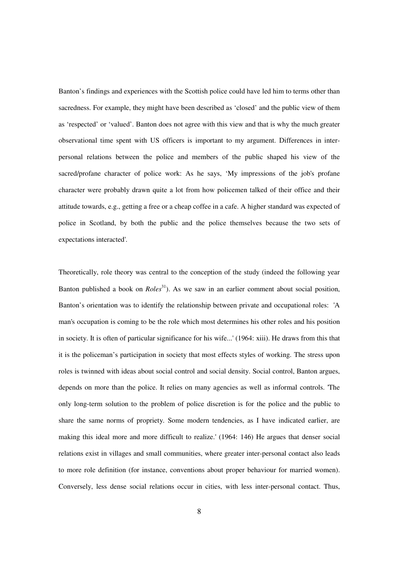Banton's findings and experiences with the Scottish police could have led him to terms other than sacredness. For example, they might have been described as 'closed' and the public view of them as 'respected' or 'valued'. Banton does not agree with this view and that is why the much greater observational time spent with US officers is important to my argument. Differences in interpersonal relations between the police and members of the public shaped his view of the sacred/profane character of police work: As he says, 'My impressions of the job's profane character were probably drawn quite a lot from how policemen talked of their office and their attitude towards, e.g., getting a free or a cheap coffee in a cafe. A higher standard was expected of police in Scotland, by both the public and the police themselves because the two sets of expectations interacted'.

Theoretically, role theory was central to the conception of the study (indeed the following year Banton published a book on *Roles*<sup>31</sup>). As we saw in an earlier comment about social position, Banton's orientation was to identify the relationship between private and occupational roles: 'A man's occupation is coming to be the role which most determines his other roles and his position in society. It is often of particular significance for his wife...' (1964: xiii). He draws from this that it is the policeman's participation in society that most effects styles of working. The stress upon roles is twinned with ideas about social control and social density. Social control, Banton argues, depends on more than the police. It relies on many agencies as well as informal controls. 'The only long-term solution to the problem of police discretion is for the police and the public to share the same norms of propriety. Some modern tendencies, as I have indicated earlier, are making this ideal more and more difficult to realize.' (1964: 146) He argues that denser social relations exist in villages and small communities, where greater inter-personal contact also leads to more role definition (for instance, conventions about proper behaviour for married women). Conversely, less dense social relations occur in cities, with less inter-personal contact. Thus,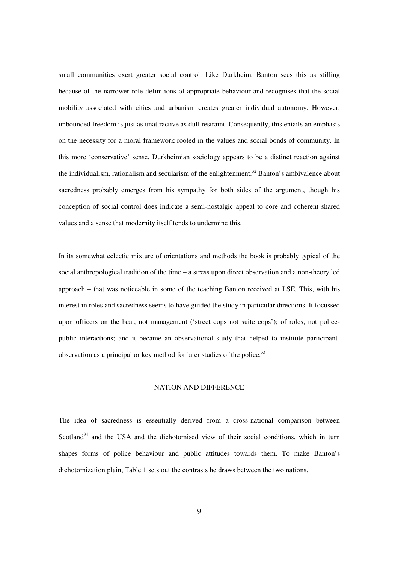small communities exert greater social control. Like Durkheim, Banton sees this as stifling because of the narrower role definitions of appropriate behaviour and recognises that the social mobility associated with cities and urbanism creates greater individual autonomy. However, unbounded freedom is just as unattractive as dull restraint. Consequently, this entails an emphasis on the necessity for a moral framework rooted in the values and social bonds of community. In this more 'conservative' sense, Durkheimian sociology appears to be a distinct reaction against the individualism, rationalism and secularism of the enlightenment.<sup>32</sup> Banton's ambivalence about sacredness probably emerges from his sympathy for both sides of the argument, though his conception of social control does indicate a semi-nostalgic appeal to core and coherent shared values and a sense that modernity itself tends to undermine this.

In its somewhat eclectic mixture of orientations and methods the book is probably typical of the social anthropological tradition of the time – a stress upon direct observation and a non-theory led approach – that was noticeable in some of the teaching Banton received at LSE. This, with his interest in roles and sacredness seems to have guided the study in particular directions. It focussed upon officers on the beat, not management ('street cops not suite cops'); of roles, not policepublic interactions; and it became an observational study that helped to institute participantobservation as a principal or key method for later studies of the police. $33$ 

# NATION AND DIFFERENCE

The idea of sacredness is essentially derived from a cross-national comparison between Scotland<sup>34</sup> and the USA and the dichotomised view of their social conditions, which in turn shapes forms of police behaviour and public attitudes towards them. To make Banton's dichotomization plain, Table 1 sets out the contrasts he draws between the two nations.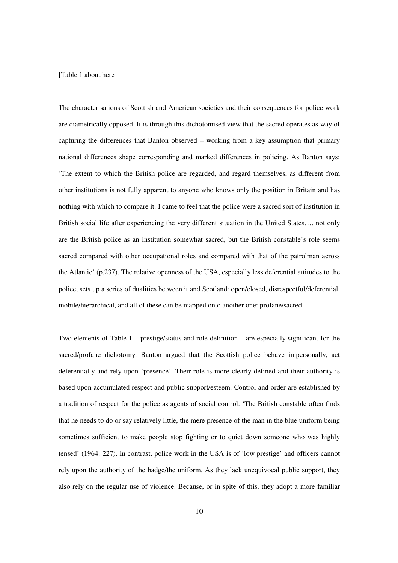#### [Table 1 about here]

The characterisations of Scottish and American societies and their consequences for police work are diametrically opposed. It is through this dichotomised view that the sacred operates as way of capturing the differences that Banton observed – working from a key assumption that primary national differences shape corresponding and marked differences in policing. As Banton says: 'The extent to which the British police are regarded, and regard themselves, as different from other institutions is not fully apparent to anyone who knows only the position in Britain and has nothing with which to compare it. I came to feel that the police were a sacred sort of institution in British social life after experiencing the very different situation in the United States…. not only are the British police as an institution somewhat sacred, but the British constable's role seems sacred compared with other occupational roles and compared with that of the patrolman across the Atlantic' (p.237). The relative openness of the USA, especially less deferential attitudes to the police, sets up a series of dualities between it and Scotland: open/closed, disrespectful/deferential, mobile/hierarchical, and all of these can be mapped onto another one: profane/sacred.

Two elements of Table 1 – prestige/status and role definition – are especially significant for the sacred/profane dichotomy. Banton argued that the Scottish police behave impersonally, act deferentially and rely upon 'presence'. Their role is more clearly defined and their authority is based upon accumulated respect and public support/esteem. Control and order are established by a tradition of respect for the police as agents of social control. 'The British constable often finds that he needs to do or say relatively little, the mere presence of the man in the blue uniform being sometimes sufficient to make people stop fighting or to quiet down someone who was highly tensed' (1964: 227). In contrast, police work in the USA is of 'low prestige' and officers cannot rely upon the authority of the badge/the uniform. As they lack unequivocal public support, they also rely on the regular use of violence. Because, or in spite of this, they adopt a more familiar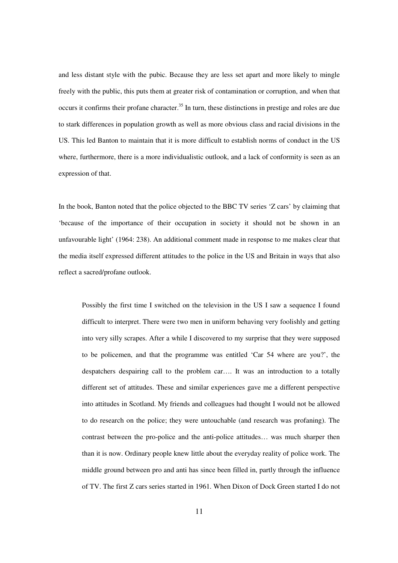and less distant style with the pubic. Because they are less set apart and more likely to mingle freely with the public, this puts them at greater risk of contamination or corruption, and when that occurs it confirms their profane character.<sup>35</sup> In turn, these distinctions in prestige and roles are due to stark differences in population growth as well as more obvious class and racial divisions in the US. This led Banton to maintain that it is more difficult to establish norms of conduct in the US where, furthermore, there is a more individualistic outlook, and a lack of conformity is seen as an expression of that.

In the book, Banton noted that the police objected to the BBC TV series 'Z cars' by claiming that 'because of the importance of their occupation in society it should not be shown in an unfavourable light' (1964: 238). An additional comment made in response to me makes clear that the media itself expressed different attitudes to the police in the US and Britain in ways that also reflect a sacred/profane outlook.

Possibly the first time I switched on the television in the US I saw a sequence I found difficult to interpret. There were two men in uniform behaving very foolishly and getting into very silly scrapes. After a while I discovered to my surprise that they were supposed to be policemen, and that the programme was entitled 'Car 54 where are you?', the despatchers despairing call to the problem car…. It was an introduction to a totally different set of attitudes. These and similar experiences gave me a different perspective into attitudes in Scotland. My friends and colleagues had thought I would not be allowed to do research on the police; they were untouchable (and research was profaning). The contrast between the pro-police and the anti-police attitudes… was much sharper then than it is now. Ordinary people knew little about the everyday reality of police work. The middle ground between pro and anti has since been filled in, partly through the influence of TV. The first Z cars series started in 1961. When Dixon of Dock Green started I do not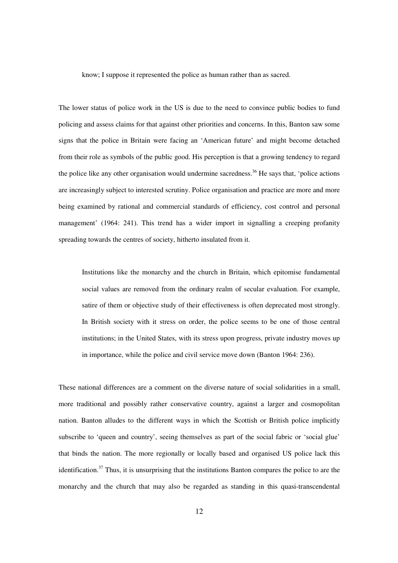know; I suppose it represented the police as human rather than as sacred.

The lower status of police work in the US is due to the need to convince public bodies to fund policing and assess claims for that against other priorities and concerns. In this, Banton saw some signs that the police in Britain were facing an 'American future' and might become detached from their role as symbols of the public good. His perception is that a growing tendency to regard the police like any other organisation would undermine sacredness.<sup>36</sup> He says that, 'police actions' are increasingly subject to interested scrutiny. Police organisation and practice are more and more being examined by rational and commercial standards of efficiency, cost control and personal management' (1964: 241). This trend has a wider import in signalling a creeping profanity spreading towards the centres of society, hitherto insulated from it.

Institutions like the monarchy and the church in Britain, which epitomise fundamental social values are removed from the ordinary realm of secular evaluation. For example, satire of them or objective study of their effectiveness is often deprecated most strongly. In British society with it stress on order, the police seems to be one of those central institutions; in the United States, with its stress upon progress, private industry moves up in importance, while the police and civil service move down (Banton 1964: 236).

These national differences are a comment on the diverse nature of social solidarities in a small, more traditional and possibly rather conservative country, against a larger and cosmopolitan nation. Banton alludes to the different ways in which the Scottish or British police implicitly subscribe to 'queen and country', seeing themselves as part of the social fabric or 'social glue' that binds the nation. The more regionally or locally based and organised US police lack this identification. $37$  Thus, it is unsurprising that the institutions Banton compares the police to are the monarchy and the church that may also be regarded as standing in this quasi-transcendental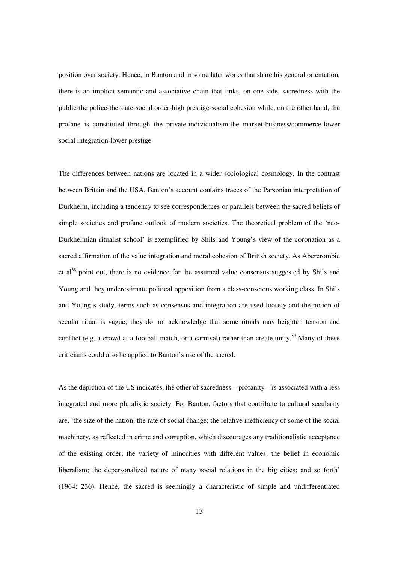position over society. Hence, in Banton and in some later works that share his general orientation, there is an implicit semantic and associative chain that links, on one side, sacredness with the public-the police-the state-social order-high prestige-social cohesion while, on the other hand, the profane is constituted through the private-individualism-the market-business/commerce-lower social integration-lower prestige.

The differences between nations are located in a wider sociological cosmology. In the contrast between Britain and the USA, Banton's account contains traces of the Parsonian interpretation of Durkheim, including a tendency to see correspondences or parallels between the sacred beliefs of simple societies and profane outlook of modern societies. The theoretical problem of the 'neo-Durkheimian ritualist school' is exemplified by Shils and Young's view of the coronation as a sacred affirmation of the value integration and moral cohesion of British society. As Abercrombie et al<sup>38</sup> point out, there is no evidence for the assumed value consensus suggested by Shils and Young and they underestimate political opposition from a class-conscious working class. In Shils and Young's study, terms such as consensus and integration are used loosely and the notion of secular ritual is vague; they do not acknowledge that some rituals may heighten tension and conflict (e.g. a crowd at a football match, or a carnival) rather than create unity.<sup>39</sup> Many of these criticisms could also be applied to Banton's use of the sacred.

As the depiction of the US indicates, the other of sacredness – profanity – is associated with a less integrated and more pluralistic society. For Banton, factors that contribute to cultural secularity are, 'the size of the nation; the rate of social change; the relative inefficiency of some of the social machinery, as reflected in crime and corruption, which discourages any traditionalistic acceptance of the existing order; the variety of minorities with different values; the belief in economic liberalism; the depersonalized nature of many social relations in the big cities; and so forth' (1964: 236). Hence, the sacred is seemingly a characteristic of simple and undifferentiated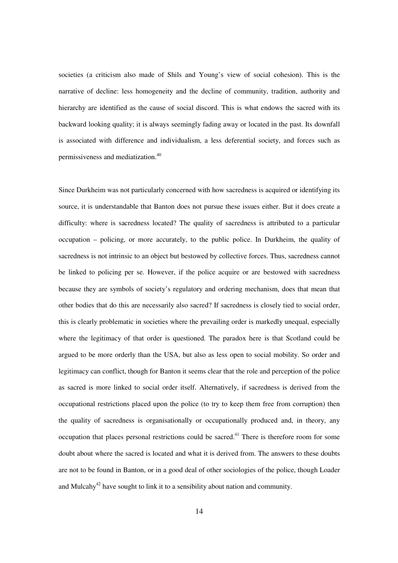societies (a criticism also made of Shils and Young's view of social cohesion). This is the narrative of decline: less homogeneity and the decline of community, tradition, authority and hierarchy are identified as the cause of social discord. This is what endows the sacred with its backward looking quality; it is always seemingly fading away or located in the past. Its downfall is associated with difference and individualism, a less deferential society, and forces such as permissiveness and mediatization.<sup>40</sup>

Since Durkheim was not particularly concerned with how sacredness is acquired or identifying its source, it is understandable that Banton does not pursue these issues either. But it does create a difficulty: where is sacredness located? The quality of sacredness is attributed to a particular occupation – policing, or more accurately, to the public police. In Durkheim, the quality of sacredness is not intrinsic to an object but bestowed by collective forces. Thus, sacredness cannot be linked to policing per se. However, if the police acquire or are bestowed with sacredness because they are symbols of society's regulatory and ordering mechanism, does that mean that other bodies that do this are necessarily also sacred? If sacredness is closely tied to social order, this is clearly problematic in societies where the prevailing order is markedly unequal, especially where the legitimacy of that order is questioned. The paradox here is that Scotland could be argued to be more orderly than the USA, but also as less open to social mobility. So order and legitimacy can conflict, though for Banton it seems clear that the role and perception of the police as sacred is more linked to social order itself. Alternatively, if sacredness is derived from the occupational restrictions placed upon the police (to try to keep them free from corruption) then the quality of sacredness is organisationally or occupationally produced and, in theory, any occupation that places personal restrictions could be sacred.<sup>41</sup> There is therefore room for some doubt about where the sacred is located and what it is derived from. The answers to these doubts are not to be found in Banton, or in a good deal of other sociologies of the police, though Loader and Mulcahy<sup>42</sup> have sought to link it to a sensibility about nation and community.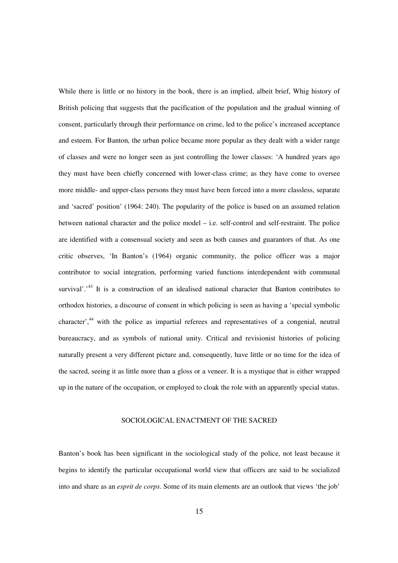While there is little or no history in the book, there is an implied, albeit brief, Whig history of British policing that suggests that the pacification of the population and the gradual winning of consent, particularly through their performance on crime, led to the police's increased acceptance and esteem. For Banton, the urban police became more popular as they dealt with a wider range of classes and were no longer seen as just controlling the lower classes: 'A hundred years ago they must have been chiefly concerned with lower-class crime; as they have come to oversee more middle- and upper-class persons they must have been forced into a more classless, separate and 'sacred' position' (1964: 240). The popularity of the police is based on an assumed relation between national character and the police model – i.e. self-control and self-restraint. The police are identified with a consensual society and seen as both causes and guarantors of that. As one critic observes, 'In Banton's (1964) organic community, the police officer was a major contributor to social integration, performing varied functions interdependent with communal survival'.<sup>43</sup> It is a construction of an idealised national character that Banton contributes to orthodox histories, a discourse of consent in which policing is seen as having a 'special symbolic character',<sup>44</sup> with the police as impartial referees and representatives of a congenial, neutral bureaucracy, and as symbols of national unity. Critical and revisionist histories of policing naturally present a very different picture and, consequently, have little or no time for the idea of the sacred, seeing it as little more than a gloss or a veneer. It is a mystique that is either wrapped up in the nature of the occupation, or employed to cloak the role with an apparently special status.

# SOCIOLOGICAL ENACTMENT OF THE SACRED

Banton's book has been significant in the sociological study of the police, not least because it begins to identify the particular occupational world view that officers are said to be socialized into and share as an *esprit de corps*. Some of its main elements are an outlook that views 'the job'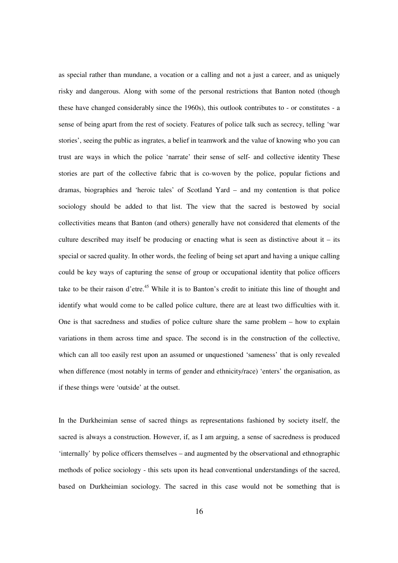as special rather than mundane, a vocation or a calling and not a just a career, and as uniquely risky and dangerous. Along with some of the personal restrictions that Banton noted (though these have changed considerably since the 1960s), this outlook contributes to - or constitutes - a sense of being apart from the rest of society. Features of police talk such as secrecy, telling 'war stories', seeing the public as ingrates, a belief in teamwork and the value of knowing who you can trust are ways in which the police 'narrate' their sense of self- and collective identity These stories are part of the collective fabric that is co-woven by the police, popular fictions and dramas, biographies and 'heroic tales' of Scotland Yard – and my contention is that police sociology should be added to that list. The view that the sacred is bestowed by social collectivities means that Banton (and others) generally have not considered that elements of the culture described may itself be producing or enacting what is seen as distinctive about it  $-$  its special or sacred quality. In other words, the feeling of being set apart and having a unique calling could be key ways of capturing the sense of group or occupational identity that police officers take to be their raison d'etre.<sup>45</sup> While it is to Banton's credit to initiate this line of thought and identify what would come to be called police culture, there are at least two difficulties with it. One is that sacredness and studies of police culture share the same problem – how to explain variations in them across time and space. The second is in the construction of the collective, which can all too easily rest upon an assumed or unquestioned 'sameness' that is only revealed when difference (most notably in terms of gender and ethnicity/race) 'enters' the organisation, as if these things were 'outside' at the outset.

In the Durkheimian sense of sacred things as representations fashioned by society itself, the sacred is always a construction. However, if, as I am arguing, a sense of sacredness is produced 'internally' by police officers themselves – and augmented by the observational and ethnographic methods of police sociology - this sets upon its head conventional understandings of the sacred, based on Durkheimian sociology. The sacred in this case would not be something that is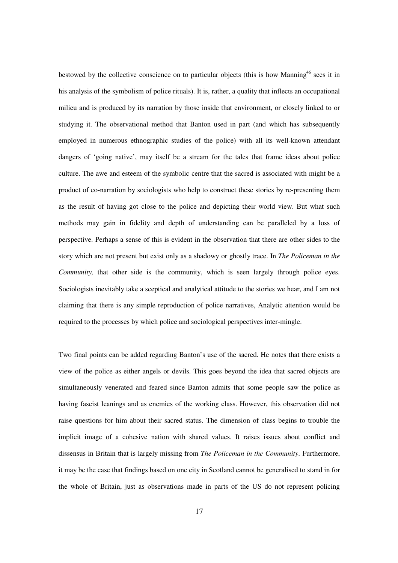bestowed by the collective conscience on to particular objects (this is how Manning<sup>46</sup> sees it in his analysis of the symbolism of police rituals). It is, rather, a quality that inflects an occupational milieu and is produced by its narration by those inside that environment, or closely linked to or studying it. The observational method that Banton used in part (and which has subsequently employed in numerous ethnographic studies of the police) with all its well-known attendant dangers of 'going native', may itself be a stream for the tales that frame ideas about police culture. The awe and esteem of the symbolic centre that the sacred is associated with might be a product of co-narration by sociologists who help to construct these stories by re-presenting them as the result of having got close to the police and depicting their world view. But what such methods may gain in fidelity and depth of understanding can be paralleled by a loss of perspective. Perhaps a sense of this is evident in the observation that there are other sides to the story which are not present but exist only as a shadowy or ghostly trace. In *The Policeman in the Community*, that other side is the community, which is seen largely through police eyes. Sociologists inevitably take a sceptical and analytical attitude to the stories we hear, and I am not claiming that there is any simple reproduction of police narratives, Analytic attention would be required to the processes by which police and sociological perspectives inter-mingle.

Two final points can be added regarding Banton's use of the sacred. He notes that there exists a view of the police as either angels or devils. This goes beyond the idea that sacred objects are simultaneously venerated and feared since Banton admits that some people saw the police as having fascist leanings and as enemies of the working class. However, this observation did not raise questions for him about their sacred status. The dimension of class begins to trouble the implicit image of a cohesive nation with shared values. It raises issues about conflict and dissensus in Britain that is largely missing from *The Policeman in the Community*. Furthermore, it may be the case that findings based on one city in Scotland cannot be generalised to stand in for the whole of Britain, just as observations made in parts of the US do not represent policing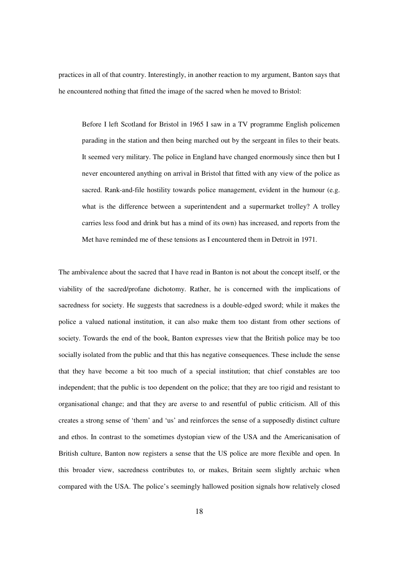practices in all of that country. Interestingly, in another reaction to my argument, Banton says that he encountered nothing that fitted the image of the sacred when he moved to Bristol:

Before I left Scotland for Bristol in 1965 I saw in a TV programme English policemen parading in the station and then being marched out by the sergeant in files to their beats. It seemed very military. The police in England have changed enormously since then but I never encountered anything on arrival in Bristol that fitted with any view of the police as sacred. Rank-and-file hostility towards police management, evident in the humour (e.g. what is the difference between a superintendent and a supermarket trolley? A trolley carries less food and drink but has a mind of its own) has increased, and reports from the Met have reminded me of these tensions as I encountered them in Detroit in 1971.

The ambivalence about the sacred that I have read in Banton is not about the concept itself, or the viability of the sacred/profane dichotomy. Rather, he is concerned with the implications of sacredness for society. He suggests that sacredness is a double-edged sword; while it makes the police a valued national institution, it can also make them too distant from other sections of society. Towards the end of the book, Banton expresses view that the British police may be too socially isolated from the public and that this has negative consequences. These include the sense that they have become a bit too much of a special institution; that chief constables are too independent; that the public is too dependent on the police; that they are too rigid and resistant to organisational change; and that they are averse to and resentful of public criticism. All of this creates a strong sense of 'them' and 'us' and reinforces the sense of a supposedly distinct culture and ethos. In contrast to the sometimes dystopian view of the USA and the Americanisation of British culture, Banton now registers a sense that the US police are more flexible and open. In this broader view, sacredness contributes to, or makes, Britain seem slightly archaic when compared with the USA. The police's seemingly hallowed position signals how relatively closed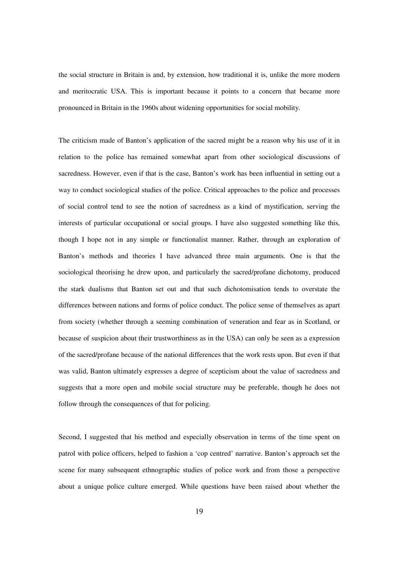the social structure in Britain is and, by extension, how traditional it is, unlike the more modern and meritocratic USA. This is important because it points to a concern that became more pronounced in Britain in the 1960s about widening opportunities for social mobility.

The criticism made of Banton's application of the sacred might be a reason why his use of it in relation to the police has remained somewhat apart from other sociological discussions of sacredness. However, even if that is the case, Banton's work has been influential in setting out a way to conduct sociological studies of the police. Critical approaches to the police and processes of social control tend to see the notion of sacredness as a kind of mystification, serving the interests of particular occupational or social groups. I have also suggested something like this, though I hope not in any simple or functionalist manner. Rather, through an exploration of Banton's methods and theories I have advanced three main arguments. One is that the sociological theorising he drew upon, and particularly the sacred/profane dichotomy, produced the stark dualisms that Banton set out and that such dichotomisation tends to overstate the differences between nations and forms of police conduct. The police sense of themselves as apart from society (whether through a seeming combination of veneration and fear as in Scotland, or because of suspicion about their trustworthiness as in the USA) can only be seen as a expression of the sacred/profane because of the national differences that the work rests upon. But even if that was valid, Banton ultimately expresses a degree of scepticism about the value of sacredness and suggests that a more open and mobile social structure may be preferable, though he does not follow through the consequences of that for policing.

Second, I suggested that his method and especially observation in terms of the time spent on patrol with police officers, helped to fashion a 'cop centred' narrative. Banton's approach set the scene for many subsequent ethnographic studies of police work and from those a perspective about a unique police culture emerged. While questions have been raised about whether the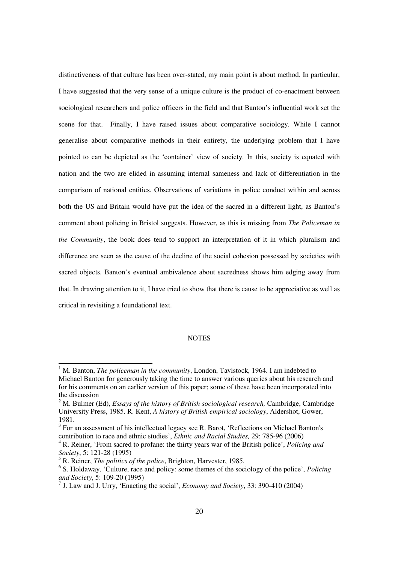distinctiveness of that culture has been over-stated, my main point is about method. In particular, I have suggested that the very sense of a unique culture is the product of co-enactment between sociological researchers and police officers in the field and that Banton's influential work set the scene for that. Finally, I have raised issues about comparative sociology. While I cannot generalise about comparative methods in their entirety, the underlying problem that I have pointed to can be depicted as the 'container' view of society. In this, society is equated with nation and the two are elided in assuming internal sameness and lack of differentiation in the comparison of national entities. Observations of variations in police conduct within and across both the US and Britain would have put the idea of the sacred in a different light, as Banton's comment about policing in Bristol suggests. However, as this is missing from *The Policeman in the Community*, the book does tend to support an interpretation of it in which pluralism and difference are seen as the cause of the decline of the social cohesion possessed by societies with sacred objects. Banton's eventual ambivalence about sacredness shows him edging away from that. In drawing attention to it, I have tried to show that there is cause to be appreciative as well as critical in revisiting a foundational text.

# **NOTES**

 $\overline{a}$ 

<sup>&</sup>lt;sup>1</sup> M. Banton, *The policeman in the community*, London, Tavistock, 1964. I am indebted to Michael Banton for generously taking the time to answer various queries about his research and for his comments on an earlier version of this paper; some of these have been incorporated into the discussion

<sup>2</sup> M. Bulmer (Ed), *Essays of the history of British sociological research,* Cambridge, Cambridge University Press, 1985. R. Kent, *A history of British empirical sociology*, Aldershot, Gower, 1981.

 $3$  For an assessment of his intellectual legacy see R. Barot, 'Reflections on Michael Banton's contribution to race and ethnic studies', *Ethnic and Racial Studies,* 29: 785-96 (2006)

<sup>4</sup> R. Reiner, 'From sacred to profane: the thirty years war of the British police', *Policing and Society*, 5: 121-28 (1995)

<sup>5</sup> R. Reiner, *The politics of the police*, Brighton, Harvester, 1985.

<sup>6</sup> S. Holdaway, 'Culture, race and policy: some themes of the sociology of the police', *Policing and Society*, 5: 109-20 (1995)

<sup>7</sup> J. Law and J. Urry, 'Enacting the social', *Economy and Society*, 33: 390-410 (2004)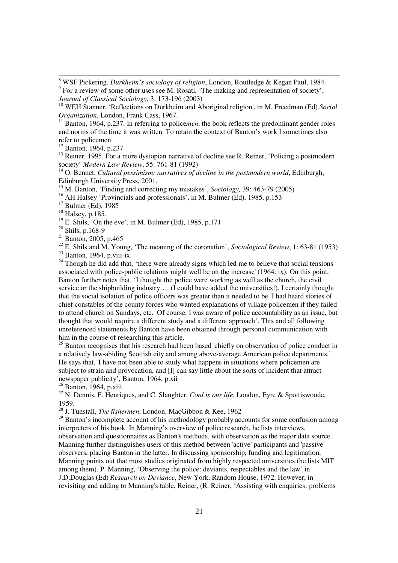<sup>12</sup> Banton, 1964, p.237

 $\overline{a}$ 

<sup>13</sup> Reiner, 1995. For a more dystopian narrative of decline see R. Reiner, 'Policing a postmodern society' *Modern Law Review*, 55: 761-81 (1992)

<sup>14</sup> O. Bennet, *Cultural pessimism: narratives of decline in the postmodern world*. Edinburgh, Edinburgh University Press, 2001.

<sup>15</sup> M. Banton, 'Finding and correcting my mistakes', *Sociology,* 39: 463-79 (2005)

<sup>17</sup> Bulmer (Ed), 1985

 $20$  Shils, p.168-9

 $21$  Banton, 2005, p.465

<sup>22</sup> E. Shils and M. Young, 'The meaning of the coronation', *Sociological Review*, 1: 63-81 (1953)

 $23$  Banton, 1964, p.viii-ix

 $24$  Though he did add that, 'there were already signs which led me to believe that social tensions associated with police-public relations might well be on the increase' (1964: ix). On this point, Banton further notes that, 'I thought the police were working as well as the church, the civil service or the shipbuilding industry…. (I could have added the universities!). I certainly thought that the social isolation of police officers was greater than it needed to be. I had heard stories of chief constables of the county forces who wanted explanations of village policemen if they failed to attend church on Sundays, etc. Of course, I was aware of police accountability as an issue, but thought that would require a different study and a different approach'. This and all following unreferenced statements by Banton have been obtained through personal communication with him in the course of researching this article.

 $25$  Banton recognises that his research had been based 'chiefly on observation of police conduct in a relatively law-abiding Scottish city and among above-average American police departments.' He says that, 'I have not been able to study what happens in situations where policemen are subject to strain and provocation, and [I] can say little about the sorts of incident that attract newspaper publicity', Banton, 1964, p.xii

 $26$  Banton, 1964, p.xiii

<sup>27</sup> N. Dennis, F. Henriques, and C. Slaughter, *Coal is our life*, London, Eyre & Spottiswoode, 1959.

<sup>28</sup> J. Tunstall, *The fishermen*, London, MacGibbon & Kee, 1962

 $29$  Banton's incomplete account of his methodology probably accounts for some confusion among interpreters of his book. In Manning's overview of police research, he lists interviews,

observation and questionnaires as Banton's methods, with observation as the major data source. Manning further distinguishes users of this method between 'active' participants and 'passive' observers, placing Banton in the latter. In discussing sponsorship, funding and legitimation, Manning points out that most studies originated from highly respected universities (he lists MIT among them). P. Manning, 'Observing the police: deviants, respectables and the law' in J.D.Douglas (Ed) *Research on Deviance*, New York, Random House, 1972. However, in revisiting and adding to Manning's table, Reiner, (R. Reiner, 'Assisting with enquiries: problems

<sup>8</sup> WSF Pickering, *Durkheim's sociology of religion*, London, Routledge & Kegan Paul, 1984. <sup>9</sup> For a review of some other uses see M. Rosati, 'The making and representation of society', *Journal of Classical Sociology,* 3: 173-196 (2003)

<sup>10</sup> WEH Stanner, 'Reflections on Durkheim and Aboriginal religion', in M. Freedman (Ed) *Social Organization*, London, Frank Cass, 1967.

<sup>&</sup>lt;sup>11</sup> Banton, 1964, p.237. In referring to policemen, the book reflects the predominant gender roles and norms of the time it was written. To retain the context of Banton's work I sometimes also refer to policemen

<sup>&</sup>lt;sup>16</sup> AH Halsey 'Provincials and professionals', in M. Bulmer (Ed), 1985, p.153

<sup>&</sup>lt;sup>18</sup> Halsey, p.185.

 $19$  E. Shils, 'On the eve', in M. Bulmer (Ed), 1985, p.171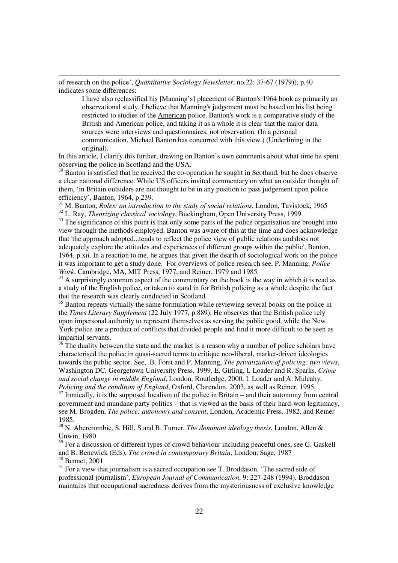of research on the police', *Quantitative Sociology Newsletter*, no.22: 37-67 (1979)), p.40 indicates some differences:

 $\overline{a}$ 

I have also reclassified his [Manning's] placement of Banton's 1964 book as primarily an observational study. I believe that Manning's judgement must be based on his list being restricted to studies of the American police. Banton's work is a comparative study of the British and American police, and taking it as a whole it is clear that the major data sources were interviews and questionnaires, not observation. (In a personal communication, Michael Banton has concurred with this view.) (Underlining in the original).

In this article, I clarify this further, drawing on Banton's own comments about what time he spent observing the police in Scotland and the USA.

 $30$  Banton is satisfied that he received the co-operation he sought in Scotland, but he does observe a clear national difference. While US officers invited commentary on what an outsider thought of them, 'in Britain outsiders are not thought to be in any position to pass judgement upon police efficiency', Banton, 1964, p.239.

<sup>31</sup> M. Banton, *Roles: an introduction to the study of social relations*, London, Tavistock, 1965 <sup>32</sup> L. Ray, *Theorizing classical sociology*, Buckingham, Open University Press, 1999

 $33$  The significance of this point is that only some parts of the police organisation are brought into view through the methods employed. Banton was aware of this at the time and does acknowledge that 'the approach adopted...tends to reflect the police view of public relations and does not adequately explore the attitudes and experiences of different groups within the public', Banton, 1964, p.xii. In a reaction to me, he argues that given the dearth of sociological work on the police it was important to get a study done. For overviews of police research see, P. Manning, *Police Work*, Cambridge, MA, MIT Press, 1977, and Reiner, 1979 and 1985.

 $34$  A surprisingly common aspect of the commentary on the book is the way in which it is read as a study of the English police, or taken to stand in for British policing as a whole despite the fact that the research was clearly conducted in Scotland.

<sup>35</sup> Banton repeats virtually the same formulation while reviewing several books on the police in the *Times Literary Supplement* (22 July 1977, p.889). He observes that the British police rely upon impersonal authority to represent themselves as serving the public good, while the New York police are a product of conflicts that divided people and find it more difficult to be seen as impartial servants.

 $36$  The duality between the state and the market is a reason why a number of police scholars have characterised the police in quasi-sacred terms to critique neo-liberal, market-driven ideologies towards the public sector. See, B. Forst and P. Manning, *The privatization of policing: two views*, Washington DC, Georgetown University Press, 1999, E. Girling, I. Loader and R. Sparks, *Crime and social change in middle England*, London, Routledge, 2000, I. Loader and A. Mulcahy, *Policing and the condition of England*, Oxford, Clarendon, 2003, as well as Reiner, 1995.

 $37$  Ironically, it is the supposed localism of the police in Britain – and their autonomy from central government and mundane party politics – that is viewed as the basis of their hard-won legitimacy, see M. Brogden, *The police: autonomy and consent*, London, Academic Press, 1982, and Reiner 1985.

<sup>38</sup> N. Abercrombie, S. Hill, S and B. Turner, *The dominant ideology thesis*, London, Allen & Unwin, 1980

 $39$  For a discussion of different types of crowd behaviour including peaceful ones, see G. Gaskell and B. Benewick (Eds), *The crowd in contemporary Britain*, London, Sage, 1987 <sup>40</sup> Bennet, 2001

 $41$  For a view that journalism is a sacred occupation see T. Broddason, 'The sacred side of professional journalism', *European Journal of Communication*, 9: 227-248 (1994). Broddason maintains that occupational sacredness derives from the mysteriousness of exclusive knowledge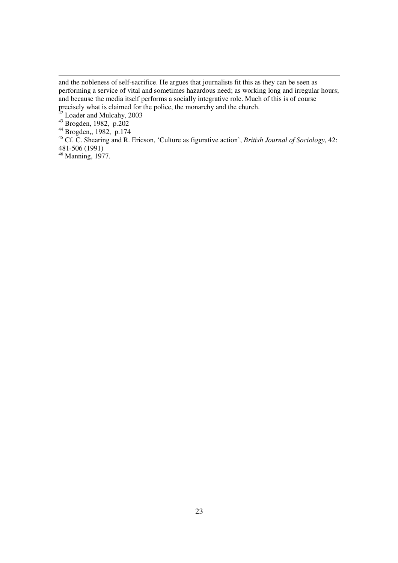$\overline{a}$ 

and the nobleness of self-sacrifice. He argues that journalists fit this as they can be seen as performing a service of vital and sometimes hazardous need; as working long and irregular hours; and because the media itself performs a socially integrative role. Much of this is of course precisely what is claimed for the police, the monarchy and the church.

 $42$  Loader and Mulcahy, 2003

<sup>43</sup> Brogden, 1982, p.202

<sup>44</sup> Brogden,, 1982, p.174

<sup>45</sup> Cf. C. Shearing and R. Ericson, 'Culture as figurative action', *British Journal of Sociology*, 42: 481-506 (1991)

<sup>&</sup>lt;sup>46</sup> Manning, 1977.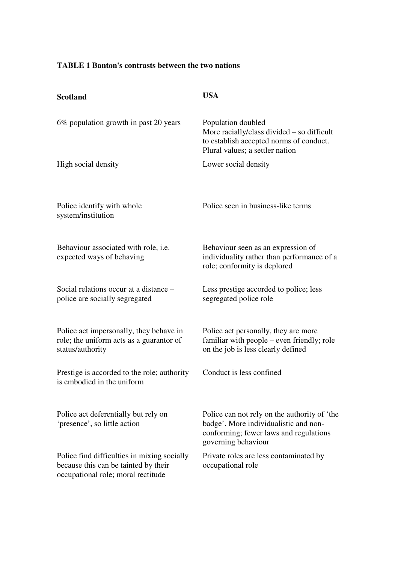# **TABLE 1 Banton's contrasts between the two nations**

| <b>Scotland</b>                                                                                                           | <b>USA</b>                                                                                                                                             |
|---------------------------------------------------------------------------------------------------------------------------|--------------------------------------------------------------------------------------------------------------------------------------------------------|
| 6% population growth in past 20 years                                                                                     | Population doubled<br>More racially/class divided $-$ so difficult<br>to establish accepted norms of conduct.<br>Plural values; a settler nation       |
| High social density                                                                                                       | Lower social density                                                                                                                                   |
| Police identify with whole<br>system/institution                                                                          | Police seen in business-like terms                                                                                                                     |
| Behaviour associated with role, i.e.<br>expected ways of behaving                                                         | Behaviour seen as an expression of<br>individuality rather than performance of a<br>role; conformity is deplored                                       |
| Social relations occur at a distance –<br>police are socially segregated                                                  | Less prestige accorded to police; less<br>segregated police role                                                                                       |
|                                                                                                                           |                                                                                                                                                        |
| Police act impersonally, they behave in<br>role; the uniform acts as a guarantor of<br>status/authority                   | Police act personally, they are more<br>familiar with people – even friendly; role<br>on the job is less clearly defined                               |
| Prestige is accorded to the role; authority<br>is embodied in the uniform                                                 | Conduct is less confined                                                                                                                               |
| Police act deferentially but rely on<br>'presence', so little action                                                      | Police can not rely on the authority of 'the<br>badge'. More individualistic and non-<br>conforming; fewer laws and regulations<br>governing behaviour |
| Police find difficulties in mixing socially<br>because this can be tainted by their<br>occupational role; moral rectitude | Private roles are less contaminated by<br>occupational role                                                                                            |